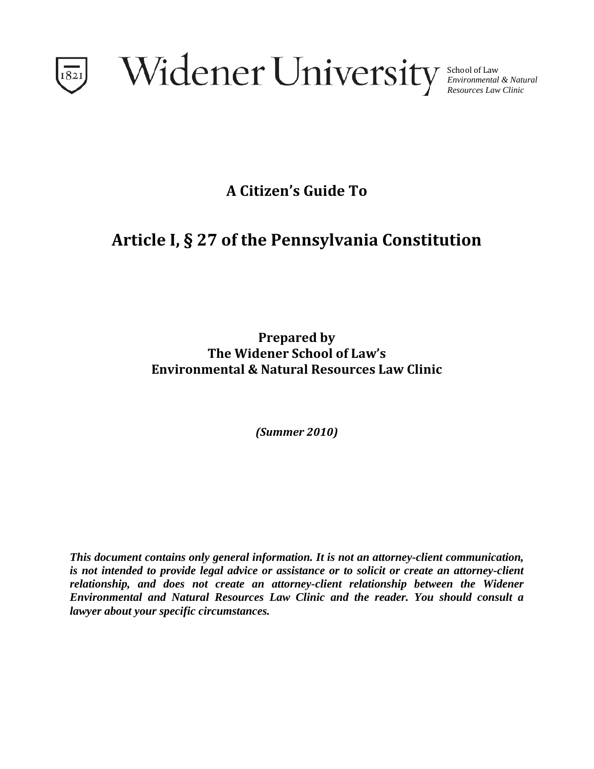

School of Law *Environmental & Natural Resources Law Clinic*

**A Citizen's Guide To**

# **Article I, § 27 of the Pennsylvania Constitution**

**Prepared by The Widener School of Law's Environmental & Natural Resources Law Clinic**

*(Summer 2010)*

*This document contains only general information. It is not an attorney-client communication, is not intended to provide legal advice or assistance or to solicit or create an attorney-client relationship, and does not create an attorney-client relationship between the Widener Environmental and Natural Resources Law Clinic and the reader. You should consult a lawyer about your specific circumstances.*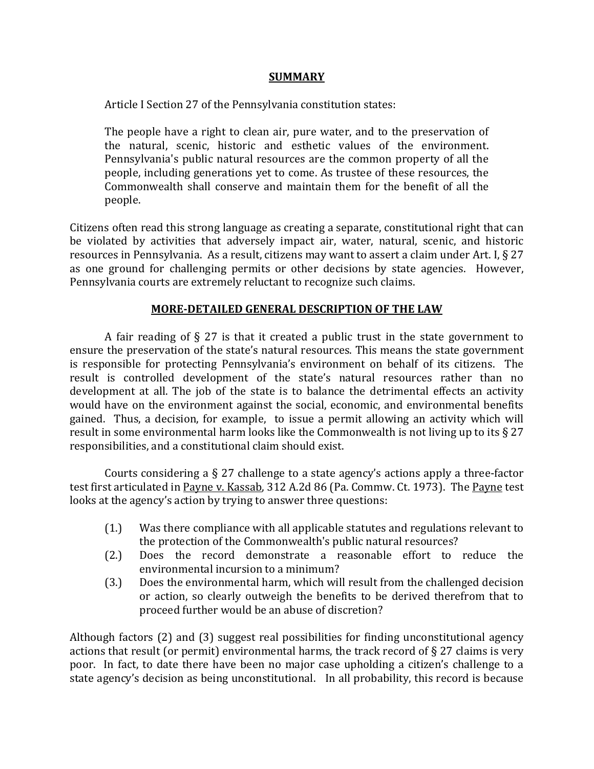## **SUMMARY**

Article I Section 27 of the Pennsylvania constitution states:

The people have a right to clean air, pure water, and to the preservation of the natural, scenic, historic and esthetic values of the environment. Pennsylvania's public natural resources are the common property of all the people, including generations yet to come. As trustee of these resources, the Commonwealth shall conserve and maintain them for the benefit of all the people.

Citizens often read this strong language as creating a separate, constitutional right that can be violated by activities that adversely impact air, water, natural, scenic, and historic resources in Pennsylvania. As a result, citizens may want to assert a claim under Art. I, § 27 as one ground for challenging permits or other decisions by state agencies. However, Pennsylvania courts are extremely reluctant to recognize such claims.

# **MORE-DETAILED GENERAL DESCRIPTION OF THE LAW**

A fair reading of  $\S 27$  is that it created a public trust in the state government to ensure the preservation of the state's natural resources. This means the state government is responsible for protecting Pennsylvania's environment on behalf of its citizens. The result is controlled development of the state's natural resources rather than no development at all. The job of the state is to balance the detrimental effects an activity would have on the environment against the social, economic, and environmental benefits gained. Thus, a decision, for example, to issue a permit allowing an activity which will result in some environmental harm looks like the Commonwealth is not living up to its § 27 responsibilities, and a constitutional claim should exist.

Courts considering a § 27 challenge to a state agency's actions apply a three-factor test first articulated in Payne v. Kassab, 312 A.2d 86 (Pa. Commw. Ct. 1973). The Payne test looks at the agency's action by trying to answer three questions:

- (1.) Was there compliance with all applicable statutes and regulations relevant to the protection of the Commonwealth's public natural resources?
- (2.) Does the record demonstrate a reasonable effort to reduce the environmental incursion to a minimum?
- (3.) Does the environmental harm, which will result from the challenged decision or action, so clearly outweigh the benefits to be derived therefrom that to proceed further would be an abuse of discretion?

Although factors (2) and (3) suggest real possibilities for finding unconstitutional agency actions that result (or permit) environmental harms, the track record of  $\S 27$  claims is very poor. In fact, to date there have been no major case upholding a citizen's challenge to a state agency's decision as being unconstitutional. In all probability, this record is because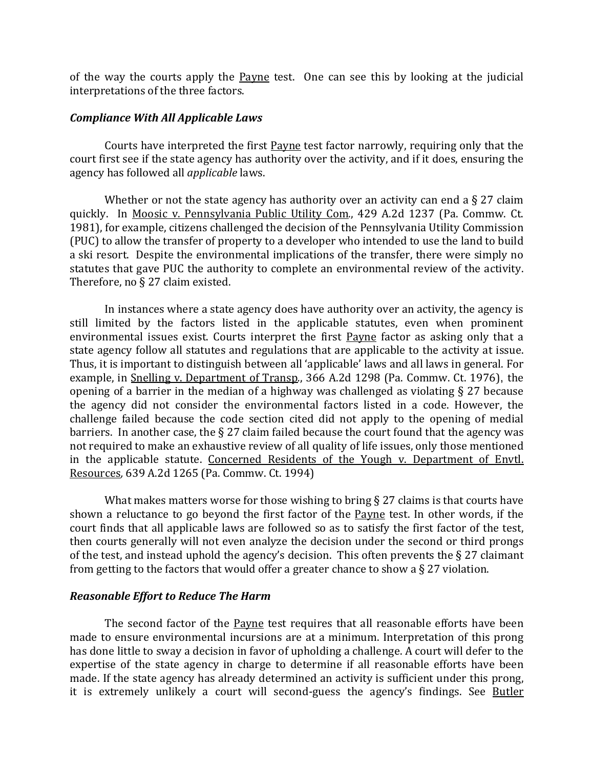of the way the courts apply the **Payne** test. One can see this by looking at the judicial interpretations of the three factors.

## *Compliance With All Applicable Laws*

Courts have interpreted the first Payne test factor narrowly, requiring only that the court first see if the state agency has authority over the activity, and if it does, ensuring the agency has followed all *applicable* laws.

Whether or not the state agency has authority over an activity can end a  $\S 27$  claim quickly. In Moosic v. Pennsylvania Public Utility Com*.*, 429 A.2d 1237 (Pa. Commw. Ct. 1981), for example, citizens challenged the decision of the Pennsylvania Utility Commission (PUC) to allow the transfer of property to a developer who intended to use the land to build a ski resort. Despite the environmental implications of the transfer, there were simply no statutes that gave PUC the authority to complete an environmental review of the activity. Therefore, no § 27 claim existed.

In instances where a state agency does have authority over an activity, the agency is still limited by the factors listed in the applicable statutes, even when prominent environmental issues exist. Courts interpret the first Payne factor as asking only that a state agency follow all statutes and regulations that are applicable to the activity at issue. Thus, it is important to distinguish between all 'applicable' laws and all laws in general. For example, in Snelling v. Department of Transp*.*, 366 A.2d 1298 (Pa. Commw. Ct. 1976), the opening of a barrier in the median of a highway was challenged as violating § 27 because the agency did not consider the environmental factors listed in a code. However, the challenge failed because the code section cited did not apply to the opening of medial barriers. In another case, the  $\S 27$  claim failed because the court found that the agency was not required to make an exhaustive review of all quality of life issues, only those mentioned in the applicable statute. Concerned Residents of the Yough v. Department of Envtl. Resources*,* 639 A.2d 1265 (Pa. Commw. Ct. 1994)

What makes matters worse for those wishing to bring § 27 claims is that courts have shown a reluctance to go beyond the first factor of the Payne test. In other words, if the court finds that all applicable laws are followed so as to satisfy the first factor of the test, then courts generally will not even analyze the decision under the second or third prongs of the test, and instead uphold the agency's decision. This often prevents the  $\S 27$  claimant from getting to the factors that would offer a greater chance to show a § 27 violation.

### *Reasonable Effort to Reduce The Harm*

The second factor of the Payne test requires that all reasonable efforts have been made to ensure environmental incursions are at a minimum. Interpretation of this prong has done little to sway a decision in favor of upholding a challenge. A court will defer to the expertise of the state agency in charge to determine if all reasonable efforts have been made. If the state agency has already determined an activity is sufficient under this prong, it is extremely unlikely a court will second-guess the agency's findings. See Butler